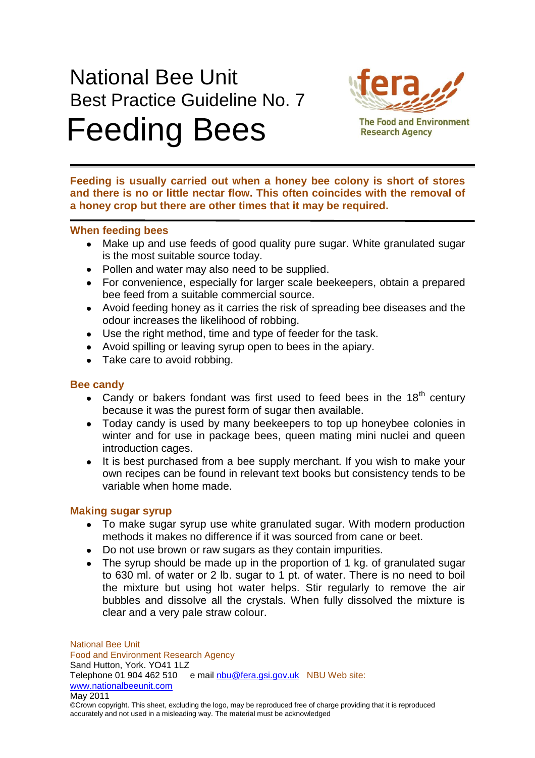# National Bee Unit Best Practice Guideline No. 7 Feeding Bees



**The Food and Environment Research Agency** 

**Feeding is usually carried out when a honey bee colony is short of stores and there is no or little nectar flow. This often coincides with the removal of a honey crop but there are other times that it may be required.** 

## **When feeding bees**

- Make up and use feeds of good quality pure sugar. White granulated sugar is the most suitable source today.
- Pollen and water may also need to be supplied.
- For convenience, especially for larger scale beekeepers, obtain a prepared bee feed from a suitable commercial source.
- Avoid feeding honey as it carries the risk of spreading bee diseases and the odour increases the likelihood of robbing.
- Use the right method, time and type of feeder for the task.
- Avoid spilling or leaving syrup open to bees in the apiary.
- Take care to avoid robbing.

## **Bee candy**

- Candy or bakers fondant was first used to feed bees in the  $18<sup>th</sup>$  century because it was the purest form of sugar then available.
- Today candy is used by many beekeepers to top up honeybee colonies in winter and for use in package bees, queen mating mini nuclei and queen introduction cages.
- It is best purchased from a bee supply merchant. If you wish to make your own recipes can be found in relevant text books but consistency tends to be variable when home made.

## **Making sugar syrup**

- To make sugar syrup use white granulated sugar. With modern production methods it makes no difference if it was sourced from cane or beet.
- Do not use brown or raw sugars as they contain impurities.
- The syrup should be made up in the proportion of 1 kg. of granulated sugar to 630 ml. of water or 2 lb. sugar to 1 pt. of water. There is no need to boil the mixture but using hot water helps. Stir regularly to remove the air bubbles and dissolve all the crystals. When fully dissolved the mixture is clear and a very pale straw colour.

National Bee Unit Food and Environment Research Agency Sand Hutton, York. YO41 1LZ Telephone 01 904 462 510 e mail nbu@fera.gsi.gov.uk NBU Web site: www.nationalbeeunit.com May 2011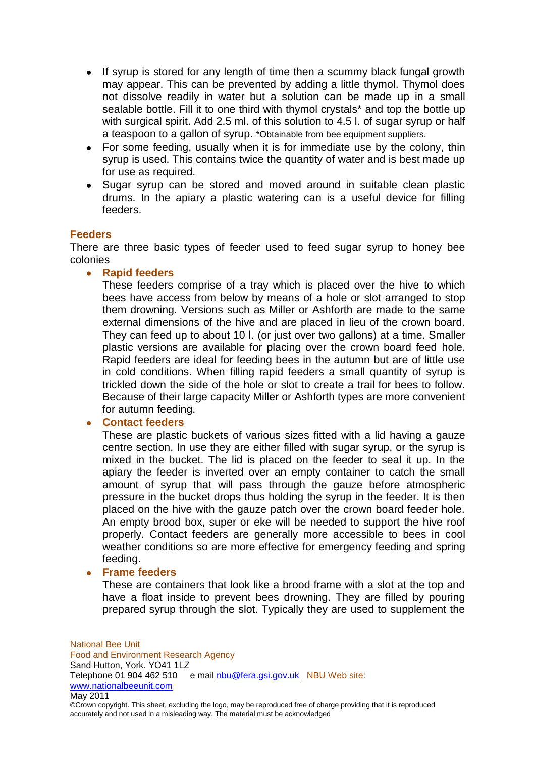- If syrup is stored for any length of time then a scummy black fungal growth may appear. This can be prevented by adding a little thymol. Thymol does not dissolve readily in water but a solution can be made up in a small sealable bottle. Fill it to one third with thymol crystals\* and top the bottle up with surgical spirit. Add 2.5 ml. of this solution to 4.5 l. of sugar syrup or half a teaspoon to a gallon of syrup. \*Obtainable from bee equipment suppliers.
- For some feeding, usually when it is for immediate use by the colony, thin syrup is used. This contains twice the quantity of water and is best made up for use as required.
- Sugar syrup can be stored and moved around in suitable clean plastic drums. In the apiary a plastic watering can is a useful device for filling feeders.

#### **Feeders**

There are three basic types of feeder used to feed sugar syrup to honey bee colonies

**Rapid feeders**

These feeders comprise of a tray which is placed over the hive to which bees have access from below by means of a hole or slot arranged to stop them drowning. Versions such as Miller or Ashforth are made to the same external dimensions of the hive and are placed in lieu of the crown board. They can feed up to about 10 l. (or just over two gallons) at a time. Smaller plastic versions are available for placing over the crown board feed hole. Rapid feeders are ideal for feeding bees in the autumn but are of little use in cold conditions. When filling rapid feeders a small quantity of syrup is trickled down the side of the hole or slot to create a trail for bees to follow. Because of their large capacity Miller or Ashforth types are more convenient for autumn feeding.

## **Contact feeders**

These are plastic buckets of various sizes fitted with a lid having a gauze centre section. In use they are either filled with sugar syrup, or the syrup is mixed in the bucket. The lid is placed on the feeder to seal it up. In the apiary the feeder is inverted over an empty container to catch the small amount of syrup that will pass through the gauze before atmospheric pressure in the bucket drops thus holding the syrup in the feeder. It is then placed on the hive with the gauze patch over the crown board feeder hole. An empty brood box, super or eke will be needed to support the hive roof properly. Contact feeders are generally more accessible to bees in cool weather conditions so are more effective for emergency feeding and spring feeding.

#### **Frame feeders**

These are containers that look like a brood frame with a slot at the top and have a float inside to prevent bees drowning. They are filled by pouring prepared syrup through the slot. Typically they are used to supplement the

National Bee Unit Food and Environment Research Agency Sand Hutton, York. YO41 1LZ Telephone 01 904 462 510 e mail nbu@fera.gsi.gov.uk NBU Web site: www.nationalbeeunit.com May 2011

©Crown copyright. This sheet, excluding the logo, may be reproduced free of charge providing that it is reproduced accurately and not used in a misleading way. The material must be acknowledged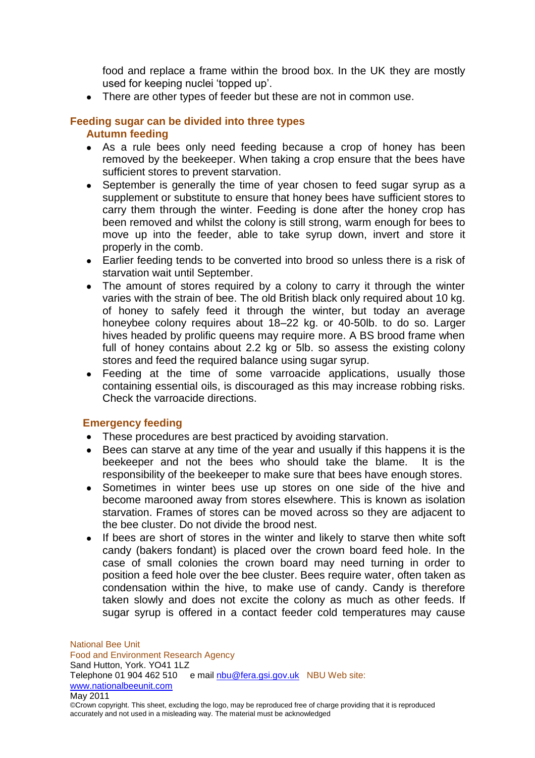food and replace a frame within the brood box. In the UK they are mostly used for keeping nuclei 'topped up'.

• There are other types of feeder but these are not in common use.

#### **Feeding sugar can be divided into three types Autumn feeding**

- As a rule bees only need feeding because a crop of honey has been removed by the beekeeper. When taking a crop ensure that the bees have sufficient stores to prevent starvation.
- September is generally the time of year chosen to feed sugar syrup as a supplement or substitute to ensure that honey bees have sufficient stores to carry them through the winter. Feeding is done after the honey crop has been removed and whilst the colony is still strong, warm enough for bees to move up into the feeder, able to take syrup down, invert and store it properly in the comb.
- Earlier feeding tends to be converted into brood so unless there is a risk of starvation wait until September.
- The amount of stores required by a colony to carry it through the winter varies with the strain of bee. The old British black only required about 10 kg. of honey to safely feed it through the winter, but today an average honeybee colony requires about 18–22 kg. or 40-50lb. to do so. Larger hives headed by prolific queens may require more. A BS brood frame when full of honey contains about 2.2 kg or 5lb. so assess the existing colony stores and feed the required balance using sugar syrup.
- Feeding at the time of some varroacide applications, usually those containing essential oils, is discouraged as this may increase robbing risks. Check the varroacide directions.

## **Emergency feeding**

- These procedures are best practiced by avoiding starvation.
- $\bullet$ Bees can starve at any time of the year and usually if this happens it is the beekeeper and not the bees who should take the blame. It is the responsibility of the beekeeper to make sure that bees have enough stores.
- Sometimes in winter bees use up stores on one side of the hive and become marooned away from stores elsewhere. This is known as isolation starvation. Frames of stores can be moved across so they are adjacent to the bee cluster. Do not divide the brood nest.
- If bees are short of stores in the winter and likely to starve then white soft candy (bakers fondant) is placed over the crown board feed hole. In the case of small colonies the crown board may need turning in order to position a feed hole over the bee cluster. Bees require water, often taken as condensation within the hive, to make use of candy. Candy is therefore taken slowly and does not excite the colony as much as other feeds. If sugar syrup is offered in a contact feeder cold temperatures may cause

National Bee Unit Food and Environment Research Agency Sand Hutton, York. YO41 1LZ Telephone 01 904 462 510 e mail nbu@fera.gsi.gov.uk NBU Web site: www.nationalbeeunit.com May 2011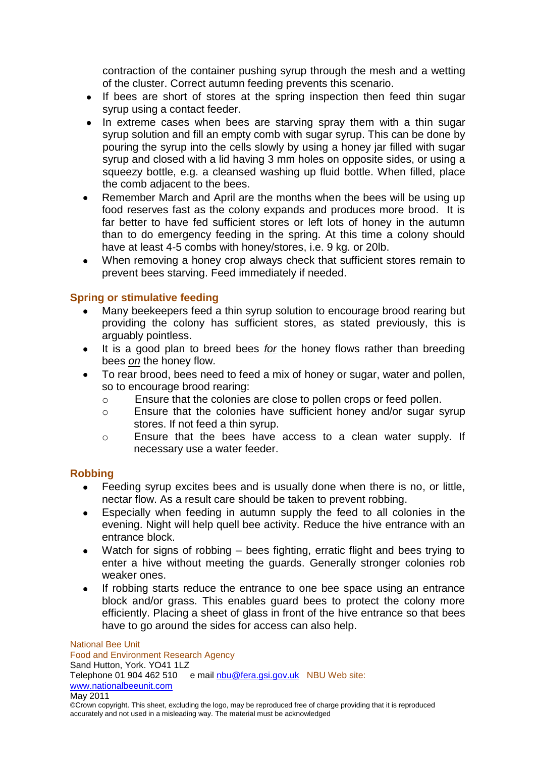contraction of the container pushing syrup through the mesh and a wetting of the cluster. Correct autumn feeding prevents this scenario.

- If bees are short of stores at the spring inspection then feed thin sugar syrup using a contact feeder.
- In extreme cases when bees are starving spray them with a thin sugar syrup solution and fill an empty comb with sugar syrup. This can be done by pouring the syrup into the cells slowly by using a honey jar filled with sugar syrup and closed with a lid having 3 mm holes on opposite sides, or using a squeezy bottle, e.g. a cleansed washing up fluid bottle. When filled, place the comb adjacent to the bees.
- Remember March and April are the months when the bees will be using up food reserves fast as the colony expands and produces more brood. It is far better to have fed sufficient stores or left lots of honey in the autumn than to do emergency feeding in the spring. At this time a colony should have at least 4-5 combs with honey/stores, i.e. 9 kg. or 20lb.
- When removing a honey crop always check that sufficient stores remain to prevent bees starving. Feed immediately if needed.

## **Spring or stimulative feeding**

- Many beekeepers feed a thin syrup solution to encourage brood rearing but providing the colony has sufficient stores, as stated previously, this is arguably pointless.
- It is a good plan to breed bees *for* the honey flows rather than breeding bees *on* the honey flow.
- To rear brood, bees need to feed a mix of honey or sugar, water and pollen, so to encourage brood rearing:
	- o Ensure that the colonies are close to pollen crops or feed pollen.
	- o Ensure that the colonies have sufficient honey and/or sugar syrup stores. If not feed a thin syrup.
	- o Ensure that the bees have access to a clean water supply. If necessary use a water feeder.

## **Robbing**

- Feeding syrup excites bees and is usually done when there is no, or little,  $\bullet$ nectar flow. As a result care should be taken to prevent robbing.
- Especially when feeding in autumn supply the feed to all colonies in the evening. Night will help quell bee activity. Reduce the hive entrance with an entrance block.
- Watch for signs of robbing bees fighting, erratic flight and bees trying to enter a hive without meeting the guards. Generally stronger colonies rob weaker ones.
- If robbing starts reduce the entrance to one bee space using an entrance block and/or grass. This enables guard bees to protect the colony more efficiently. Placing a sheet of glass in front of the hive entrance so that bees have to go around the sides for access can also help.

National Bee Unit Food and Environment Research Agency Sand Hutton, York. YO41 1LZ Telephone 01 904 462 510 e mail nbu@fera.gsi.gov.uk NBU Web site: www.nationalbeeunit.com May 2011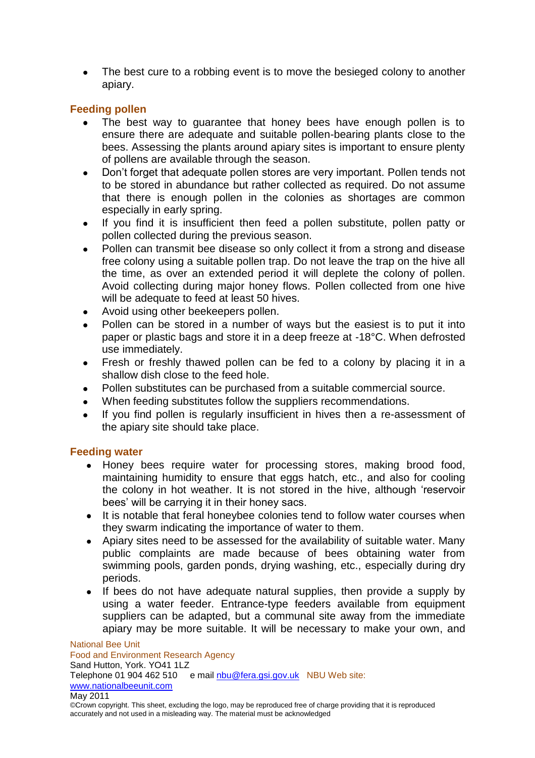The best cure to a robbing event is to move the besieged colony to another apiary.

# **Feeding pollen**

- The best way to guarantee that honey bees have enough pollen is to ensure there are adequate and suitable pollen-bearing plants close to the bees. Assessing the plants around apiary sites is important to ensure plenty of pollens are available through the season.
- Don't forget that adequate pollen stores are very important. Pollen tends not to be stored in abundance but rather collected as required. Do not assume that there is enough pollen in the colonies as shortages are common especially in early spring.
- If you find it is insufficient then feed a pollen substitute, pollen patty or pollen collected during the previous season.
- Pollen can transmit bee disease so only collect it from a strong and disease free colony using a suitable pollen trap. Do not leave the trap on the hive all the time, as over an extended period it will deplete the colony of pollen. Avoid collecting during major honey flows. Pollen collected from one hive will be adequate to feed at least 50 hives.
- Avoid using other beekeepers pollen.
- Pollen can be stored in a number of ways but the easiest is to put it into paper or plastic bags and store it in a deep freeze at -18°C. When defrosted use immediately.
- Fresh or freshly thawed pollen can be fed to a colony by placing it in a  $\bullet$ shallow dish close to the feed hole.
- Pollen substitutes can be purchased from a suitable commercial source.
- When feeding substitutes follow the suppliers recommendations.
- If you find pollen is regularly insufficient in hives then a re-assessment of the apiary site should take place.

## **Feeding water**

- Honey bees require water for processing stores, making brood food, maintaining humidity to ensure that eggs hatch, etc., and also for cooling the colony in hot weather. It is not stored in the hive, although 'reservoir bees' will be carrying it in their honey sacs.
- It is notable that feral honeybee colonies tend to follow water courses when they swarm indicating the importance of water to them.
- Apiary sites need to be assessed for the availability of suitable water. Many public complaints are made because of bees obtaining water from swimming pools, garden ponds, drying washing, etc., especially during dry periods.
- If bees do not have adequate natural supplies, then provide a supply by using a water feeder. Entrance-type feeders available from equipment suppliers can be adapted, but a communal site away from the immediate apiary may be more suitable. It will be necessary to make your own, and